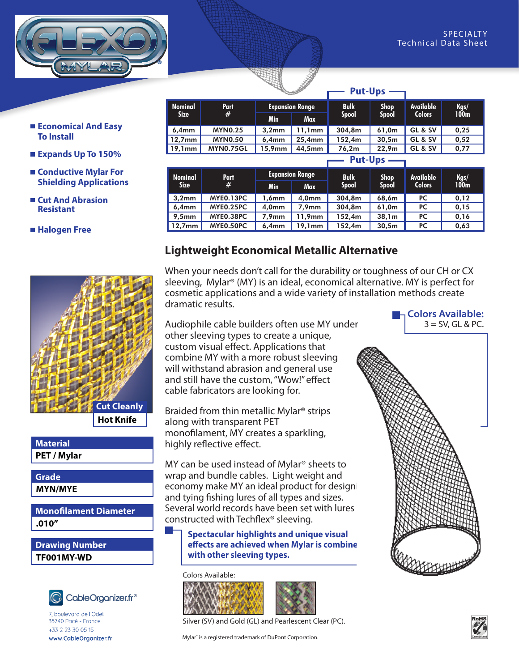

- **Economical And Easy To Install**
- **Expands Up To 150%**
- **Conductive Mylar For Shielding Applications**
- **Cut And Abrasion Resistant**

 **Halogen Free**



**Hot Knife**

**PET / Mylar Material**

**MYN/MYE Grade**

#### **.010" Monofilament Diameter**

**TF001MY-WD Drawing Number**



7, boulevard de l'Odet 35740 Pacé - France +33 2 23 30 05 15 www.CableOrganizer.fr

|                        |                  |                        | .         |              |                   |                  |          |
|------------------------|------------------|------------------------|-----------|--------------|-------------------|------------------|----------|
| Nominal<br><b>Size</b> | <b>Part</b><br># | <b>Expansion Range</b> |           | <b>Bulk</b>  | <b>Shop</b>       | <b>Available</b> | Kgs/100m |
|                        |                  | <b>Min</b>             | Max       | <b>Spool</b> | <b>Spool</b>      | <b>Colors</b>    |          |
| 6.4 <sub>mm</sub>      | <b>MYN0.25</b>   | 3.2 <sub>mm</sub>      | 11,1mm    | 304.8m       | 61.0m             | GL & SV          | 0.25     |
| $12,7$ mm              | <b>MYN0.50</b>   | 6.4mm                  | $25.4$ mm | 152.4m       | 30.5 <sub>m</sub> | GL & SV          | 0.52     |
| $19.1$ mm              | <b>MYN0.75GL</b> | 15,9mm                 | 44,5mm    | 76.2m        | 22.9 <sub>m</sub> | GL & SV          | 0.77     |

**Put-Ups**

| <b>Put-Ups</b>         |                  |                        |            |              |              |                  |              |
|------------------------|------------------|------------------------|------------|--------------|--------------|------------------|--------------|
| Nominal<br><b>Size</b> | Part<br>#        | <b>Expansion Range</b> |            | <b>Bulk</b>  | <b>Shop</b>  | <b>Available</b> |              |
|                        |                  | <b>Min</b>             | <b>Max</b> | <b>Spool</b> | <b>Spool</b> | <b>Colors</b>    | Kgs/<br>100m |
| 3,2mm                  | MYE0.13PC        | 1,6mm                  | 4,0mm      | 304.8m       | 68,6m        | <b>PC</b>        | 0,12         |
| 6,4mm                  | <b>MYE0.25PC</b> | 4,0mm                  | 7,9mm      | 304.8m       | 61,0m        | PC.              | 0,15         |
| $9,5$ mm               | MYE0.38PC        | $7.9$ mm               | 11,9mm     | 152.4m       | 38,1m        | <b>PC</b>        | 0,16         |
| $12,7$ mm              | MYE0.50PC        | 6,4mm                  | 19,1mm     | 152.4m       | 30,5m        | <b>PC</b>        | 0,63         |

### **Lightweight Economical Metallic Alternative**

When your needs don't call for the durability or toughness of our CH or CX sleeving, Mylar® (MY) is an ideal, economical alternative. MY is perfect for cosmetic applications and a wide variety of installation methods create dramatic results. **Colors Available:**

Audiophile cable builders often use MY under other sleeving types to create a unique, custom visual effect. Applications that combine MY with a more robust sleeving will withstand abrasion and general use and still have the custom, "Wow!" effect cable fabricators are looking for.

Braided from thin metallic Mylar® strips along with transparent PET monofilament, MY creates a sparkling, highly reflective effect.

MY can be used instead of Mylar® sheets to wrap and bundle cables. Light weight and economy make MY an ideal product for designi and tying fishing lures of all types and sizes. Several world records have been set with lures constructed with Techflex® sleeving.

**Spectacular highlights and unique visual effects are achieved when Mylar is combine with other sleeving types.**

#### Colors Available:





Silver (SV) and Gold (GL) and Pearlescent Clear (PC).

Mylar® is a registered trademark of DuPont Corporation.